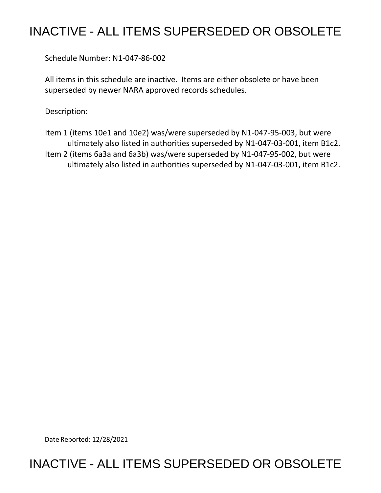## INACTIVE - ALL ITEMS SUPERSEDED OR OBSOLETE

Schedule Number: N1-047-86-002

 All items in this schedule are inactive. Items are either obsolete or have been superseded by newer NARA approved records schedules.

Description:

- Item 1 (items 10e1 and 10e2) was/were superseded by N1-047-95-003, but were ultimately also listed in authorities superseded by N1-047-03-001, item B1c2.
- Item 2 (items 6a3a and 6a3b) was/were superseded by N1-047-95-002, but were ultimately also listed in authorities superseded by N1-047-03-001, item B1c2.

Date Reported: 12/28/2021

## INACTIVE - ALL ITEMS SUPERSEDED OR OBSOLETE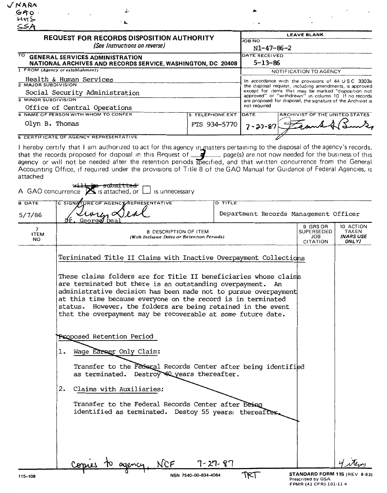| V NARA                                                                                                                                                                                                                                                                                                                                                                                                                                                                                            |                        |                                                                                                                                                                                                                             |                                                              |  |
|---------------------------------------------------------------------------------------------------------------------------------------------------------------------------------------------------------------------------------------------------------------------------------------------------------------------------------------------------------------------------------------------------------------------------------------------------------------------------------------------------|------------------------|-----------------------------------------------------------------------------------------------------------------------------------------------------------------------------------------------------------------------------|--------------------------------------------------------------|--|
| GAO                                                                                                                                                                                                                                                                                                                                                                                                                                                                                               |                        |                                                                                                                                                                                                                             |                                                              |  |
| HHS<br>ำ ≱⊾<br>SSA                                                                                                                                                                                                                                                                                                                                                                                                                                                                                |                        |                                                                                                                                                                                                                             |                                                              |  |
| <b>REQUEST FOR RECORDS DISPOSITION AUTHORITY</b>                                                                                                                                                                                                                                                                                                                                                                                                                                                  |                        | <b>LEAVE BLANK</b>                                                                                                                                                                                                          |                                                              |  |
| (See Instructions on reverse)                                                                                                                                                                                                                                                                                                                                                                                                                                                                     |                        | <b>JOB NO</b><br>N1-47-86-2                                                                                                                                                                                                 |                                                              |  |
| TO GENERAL SERVICES ADMINISTRATION<br>NATIONAL ARCHIVES AND RECORDS SERVICE, WASHINGTON, DC 20408                                                                                                                                                                                                                                                                                                                                                                                                 |                        | DATE RECEIVED<br>$5 - 13 - 86$                                                                                                                                                                                              |                                                              |  |
| 1 FROM (Agency or establishment)                                                                                                                                                                                                                                                                                                                                                                                                                                                                  |                        |                                                                                                                                                                                                                             | NOTIFICATION TO AGENCY                                       |  |
| Health & Human Services<br><b>2 MAJOR SUBDIVISION</b><br>Social Security Administration                                                                                                                                                                                                                                                                                                                                                                                                           |                        | In accordance with the provisions of 44 USC 3303a<br>the disposal request, including amendments, is approved<br>except for items that may be marked "disposition not<br>approved" or "withdrawn" in column 10 If no records |                                                              |  |
| <b>3 MINOR SUBDIVISION</b><br>Office of Central Operations                                                                                                                                                                                                                                                                                                                                                                                                                                        |                        | not required                                                                                                                                                                                                                | are proposed for disposal, the signature of the Archivist is |  |
| 4 NAME OF PERSON WITH WHOM TO CONFER                                                                                                                                                                                                                                                                                                                                                                                                                                                              | <b>5 TELEPHONE EXT</b> | DATE                                                                                                                                                                                                                        | ARCHIVIST OF THE UNITED STATES                               |  |
| Olyn B. Thomas                                                                                                                                                                                                                                                                                                                                                                                                                                                                                    | FTS 934-5770           | $7 - 27 - 87$                                                                                                                                                                                                               |                                                              |  |
| <b>6 CERTIFICATE OF AGENCY REPRESENTATIVE</b>                                                                                                                                                                                                                                                                                                                                                                                                                                                     |                        |                                                                                                                                                                                                                             |                                                              |  |
| I hereby certify that I am authorized to act for this agency in matters pertaining to the disposal of the agency's records,<br>that the records proposed for disposal in this Request of $\Box$ page(s) are not now needed for the business of this<br>agency or will not be needed after the retention periods specified, and that written concurrence from the General<br>Accounting Office, if required under the provisions of Title 8 of the GAO Manual for Guidance of Federal Agencies, is |                        |                                                                                                                                                                                                                             |                                                              |  |

| attached                |                                                                                                                                                                                                                                                                                                                                                                                                   |                                       |                   |                                                 |  |
|-------------------------|---------------------------------------------------------------------------------------------------------------------------------------------------------------------------------------------------------------------------------------------------------------------------------------------------------------------------------------------------------------------------------------------------|---------------------------------------|-------------------|-------------------------------------------------|--|
|                         | submit t <del>ed</del><br>A GAO concurrence $\sum$ is attached, or $\Box$ is unnecessary                                                                                                                                                                                                                                                                                                          |                                       |                   |                                                 |  |
| <b>B DATE</b>           | C SIGNATURE OF AGENCY REPRESENTATIVE                                                                                                                                                                                                                                                                                                                                                              | <b>D TITLE</b>                        |                   |                                                 |  |
| 5/7/86                  | $\mu_{\mu}$ alea<br>George De                                                                                                                                                                                                                                                                                                                                                                     | Department Records Management Officer |                   |                                                 |  |
| 7<br><b>ITEM</b><br>NO. | 8 DESCRIPTION OF ITEM<br>(With Inclusive Dates or Retention Periods)                                                                                                                                                                                                                                                                                                                              |                                       |                   | 10 ACTION<br><b>TAKEN</b><br>(NARS USE<br>ONLY) |  |
|                         | Teriminated Title II Claims with Inactive Overpayment Collections                                                                                                                                                                                                                                                                                                                                 |                                       |                   |                                                 |  |
|                         | These claims folders are for Title II beneficiaries whose claims<br>are terminated but there is an outstanding overpayment. An<br>administrative decision has been made not to pursue overpayment<br>at this time because everyone on the record is in terminated<br>status. However, the folders are being retained in the event<br>that the overpayment may be recoverable at some future date. |                                       |                   |                                                 |  |
|                         | Proposed Retention Period                                                                                                                                                                                                                                                                                                                                                                         |                                       |                   |                                                 |  |
|                         | Wage Earner Only Claim:<br>ı.                                                                                                                                                                                                                                                                                                                                                                     |                                       |                   |                                                 |  |
|                         | Transfer to the Federal Records Center after being identified<br>as terminated. Destroy 40 years thereafter.                                                                                                                                                                                                                                                                                      |                                       |                   |                                                 |  |
|                         | Claims with Auxiliaries:<br>2.                                                                                                                                                                                                                                                                                                                                                                    |                                       |                   |                                                 |  |
|                         | Transfer to the Federal Records Center after being<br>identified as terminated. Destoy 55 years: thereafter                                                                                                                                                                                                                                                                                       |                                       |                   |                                                 |  |
|                         |                                                                                                                                                                                                                                                                                                                                                                                                   |                                       |                   |                                                 |  |
|                         | JCF                                                                                                                                                                                                                                                                                                                                                                                               | 7- 27- 87<br>᠊᠊᠊ᡣ᠍ᢁ᠊᠊᠊᠆               | STANDARD FORM 115 |                                                 |  |

**NSN 7540-00-634-4064 STANDARD FORM 115** (REV 8-83)<br>Prescribed by GSA FPMR (41 CFR) 101-11 4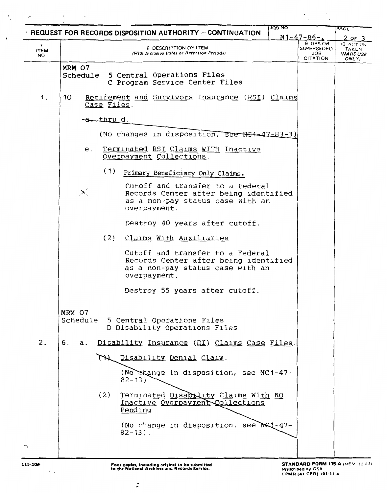|                                   | <b>JOB NO</b><br><b>EXEQUEST FOR RECORDS DISPOSITION AUTHORITY - CONTINUATION</b> |                                            | PAGE                                     |
|-----------------------------------|-----------------------------------------------------------------------------------|--------------------------------------------|------------------------------------------|
|                                   |                                                                                   | $N1 - 47 - 86 - c$                         | 2 of                                     |
| $7^{\circ}$<br><b>ITEM</b><br>NO. | 8 DESCRIPTION OF ITEM<br>(With Inclusive Dates or Retention Periods)              | הO GRS O<br>SUPERSEDED<br>JOB.<br>CITATION | 10 ACTION<br>TAKEN<br>(NARS USE<br>ONLY) |
|                                   | MRM 07                                                                            |                                            |                                          |
|                                   | Schedule 5 Central Operations Files                                               |                                            |                                          |
|                                   | C Program Service Center Files                                                    |                                            |                                          |
| 1.                                | 10<br>Retirement and Survivors Insurance (RSI) Claims<br>Case Files.              |                                            |                                          |
|                                   | <del>-a.thru</del> d.                                                             |                                            |                                          |
|                                   |                                                                                   |                                            |                                          |
|                                   | (No changes in disposition, see NE4-47-83-3)                                      |                                            |                                          |
|                                   | Terminated RSI Claims WITH Inactive<br>е.                                         |                                            |                                          |
|                                   | Overpayment Collections.                                                          |                                            |                                          |
|                                   |                                                                                   |                                            |                                          |
|                                   | (1)<br>Primary Beneficiary Only Claims.                                           |                                            |                                          |
|                                   | Cutoff and transfer to a Federal                                                  |                                            |                                          |
|                                   | X<br>Records Center after being identified                                        |                                            |                                          |
|                                   | as a non-pay status case with an<br>overpayment.                                  |                                            |                                          |
|                                   |                                                                                   |                                            |                                          |
|                                   | Destroy 40 years after cutoff.                                                    |                                            |                                          |
|                                   | (2)<br>Claims With Auxiliaries                                                    |                                            |                                          |
|                                   |                                                                                   |                                            |                                          |
|                                   | Cutoff and transfer to a Federal<br>Records Center after being identified         |                                            |                                          |
|                                   | as a non-pay status case with an                                                  |                                            |                                          |
|                                   | overpayment.                                                                      |                                            |                                          |
|                                   |                                                                                   |                                            |                                          |
|                                   | Destroy 55 years after cutoff.                                                    |                                            |                                          |
|                                   | MRM 07                                                                            |                                            |                                          |
|                                   | Schedule 5 Central Operations Files                                               |                                            |                                          |
|                                   | D Disability Operations Files                                                     |                                            |                                          |
| 2.                                | 6.<br>Disability Insurance (DI) Claims Case Files.<br>а.                          |                                            |                                          |
|                                   | TH Disability Denial Claim.                                                       |                                            |                                          |
|                                   | (No shange in disposition, see NC1-47-                                            |                                            |                                          |
|                                   | $82 - 13$                                                                         |                                            |                                          |
|                                   |                                                                                   |                                            |                                          |
|                                   | (2)<br>Terminated Disability Claims With NO<br>Inactive Overpayment Collections   |                                            |                                          |
|                                   | Pending                                                                           |                                            |                                          |
|                                   |                                                                                   |                                            |                                          |
|                                   | (No change in disposition, see NS1-47-<br>$82 - 13$ .                             |                                            |                                          |
|                                   |                                                                                   |                                            |                                          |
|                                   |                                                                                   |                                            |                                          |
|                                   |                                                                                   |                                            |                                          |

 $\ddot{\phantom{a}}$ 

 $\bullet$ 

 $\sim 10^{-10}$ 

 $\overline{\phantom{a}}$ 

 $\ddot{\phantom{a}}$ 

- -

 $\mathbb{R}^2$ 

 $\overline{\phantom{a}}$ 

 $\overline{a}$